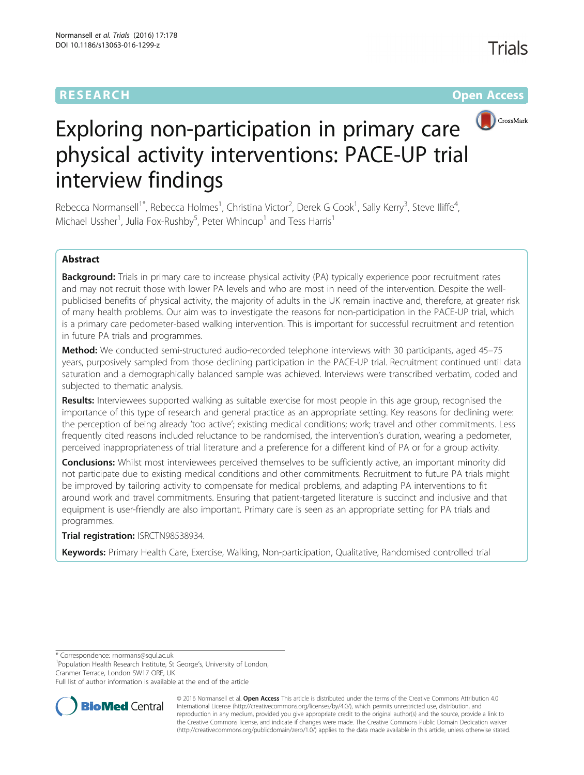# **RESEARCH CHE Open Access**



# Exploring non-participation in primary care physical activity interventions: PACE-UP trial interview findings

Rebecca Normansell<sup>1\*</sup>, Rebecca Holmes<sup>1</sup>, Christina Victor<sup>2</sup>, Derek G Cook<sup>1</sup>, Sally Kerry<sup>3</sup>, Steve Iliffe<sup>4</sup> , Michael Ussher<sup>1</sup>, Julia Fox-Rushby<sup>5</sup>, Peter Whincup<sup>1</sup> and Tess Harris<sup>1</sup>

# Abstract

Background: Trials in primary care to increase physical activity (PA) typically experience poor recruitment rates and may not recruit those with lower PA levels and who are most in need of the intervention. Despite the wellpublicised benefits of physical activity, the majority of adults in the UK remain inactive and, therefore, at greater risk of many health problems. Our aim was to investigate the reasons for non-participation in the PACE-UP trial, which is a primary care pedometer-based walking intervention. This is important for successful recruitment and retention in future PA trials and programmes.

Method: We conducted semi-structured audio-recorded telephone interviews with 30 participants, aged 45–75 years, purposively sampled from those declining participation in the PACE-UP trial. Recruitment continued until data saturation and a demographically balanced sample was achieved. Interviews were transcribed verbatim, coded and subjected to thematic analysis.

Results: Interviewees supported walking as suitable exercise for most people in this age group, recognised the importance of this type of research and general practice as an appropriate setting. Key reasons for declining were: the perception of being already 'too active'; existing medical conditions; work; travel and other commitments. Less frequently cited reasons included reluctance to be randomised, the intervention's duration, wearing a pedometer, perceived inappropriateness of trial literature and a preference for a different kind of PA or for a group activity.

**Conclusions:** Whilst most interviewees perceived themselves to be sufficiently active, an important minority did not participate due to existing medical conditions and other commitments. Recruitment to future PA trials might be improved by tailoring activity to compensate for medical problems, and adapting PA interventions to fit around work and travel commitments. Ensuring that patient-targeted literature is succinct and inclusive and that equipment is user-friendly are also important. Primary care is seen as an appropriate setting for PA trials and programmes.

# Trial registration: [ISRCTN98538934](http://www.isrctn.com/ISRCTN98538934).

Keywords: Primary Health Care, Exercise, Walking, Non-participation, Qualitative, Randomised controlled trial

\* Correspondence: [rnormans@sgul.ac.uk](mailto:rnormans@sgul.ac.uk) <sup>1</sup>

<sup>1</sup>Population Health Research Institute, St George's, University of London, Cranmer Terrace, London SW17 ORE, UK

Full list of author information is available at the end of the article



© 2016 Normansell et al. Open Access This article is distributed under the terms of the Creative Commons Attribution 4.0 International License [\(http://creativecommons.org/licenses/by/4.0/](http://creativecommons.org/licenses/by/4.0/)), which permits unrestricted use, distribution, and reproduction in any medium, provided you give appropriate credit to the original author(s) and the source, provide a link to the Creative Commons license, and indicate if changes were made. The Creative Commons Public Domain Dedication waiver [\(http://creativecommons.org/publicdomain/zero/1.0/](http://creativecommons.org/publicdomain/zero/1.0/)) applies to the data made available in this article, unless otherwise stated.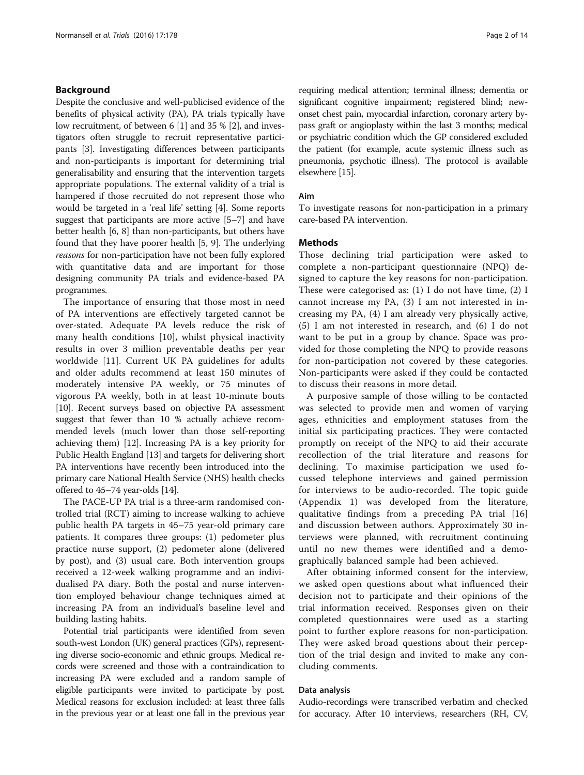### Background

Despite the conclusive and well-publicised evidence of the benefits of physical activity (PA), PA trials typically have low recruitment, of between 6 [\[1](#page-12-0)] and 35 % [\[2](#page-12-0)], and investigators often struggle to recruit representative participants [\[3](#page-12-0)]. Investigating differences between participants and non-participants is important for determining trial generalisability and ensuring that the intervention targets appropriate populations. The external validity of a trial is hampered if those recruited do not represent those who would be targeted in a 'real life' setting [[4](#page-12-0)]. Some reports suggest that participants are more active [\[5](#page-12-0)–[7\]](#page-12-0) and have better health [\[6, 8\]](#page-12-0) than non-participants, but others have found that they have poorer health [\[5, 9](#page-12-0)]. The underlying reasons for non-participation have not been fully explored with quantitative data and are important for those designing community PA trials and evidence-based PA programmes.

The importance of ensuring that those most in need of PA interventions are effectively targeted cannot be over-stated. Adequate PA levels reduce the risk of many health conditions [[10\]](#page-12-0), whilst physical inactivity results in over 3 million preventable deaths per year worldwide [[11](#page-12-0)]. Current UK PA guidelines for adults and older adults recommend at least 150 minutes of moderately intensive PA weekly, or 75 minutes of vigorous PA weekly, both in at least 10-minute bouts [[10](#page-12-0)]. Recent surveys based on objective PA assessment suggest that fewer than 10 % actually achieve recommended levels (much lower than those self-reporting achieving them) [\[12\]](#page-12-0). Increasing PA is a key priority for Public Health England [\[13\]](#page-12-0) and targets for delivering short PA interventions have recently been introduced into the primary care National Health Service (NHS) health checks offered to 45–74 year-olds [[14](#page-12-0)].

The PACE-UP PA trial is a three-arm randomised controlled trial (RCT) aiming to increase walking to achieve public health PA targets in 45–75 year-old primary care patients. It compares three groups: (1) pedometer plus practice nurse support, (2) pedometer alone (delivered by post), and (3) usual care. Both intervention groups received a 12-week walking programme and an individualised PA diary. Both the postal and nurse intervention employed behaviour change techniques aimed at increasing PA from an individual's baseline level and building lasting habits.

Potential trial participants were identified from seven south-west London (UK) general practices (GPs), representing diverse socio-economic and ethnic groups. Medical records were screened and those with a contraindication to increasing PA were excluded and a random sample of eligible participants were invited to participate by post. Medical reasons for exclusion included: at least three falls in the previous year or at least one fall in the previous year requiring medical attention; terminal illness; dementia or significant cognitive impairment; registered blind; newonset chest pain, myocardial infarction, coronary artery bypass graft or angioplasty within the last 3 months; medical or psychiatric condition which the GP considered excluded the patient (for example, acute systemic illness such as pneumonia, psychotic illness). The protocol is available elsewhere [\[15\]](#page-12-0).

#### Aim

To investigate reasons for non-participation in a primary care-based PA intervention.

#### **Methods**

Those declining trial participation were asked to complete a non-participant questionnaire (NPQ) designed to capture the key reasons for non-participation. These were categorised as:  $(1)$  I do not have time,  $(2)$  I cannot increase my PA, (3) I am not interested in increasing my PA, (4) I am already very physically active, (5) I am not interested in research, and (6) I do not want to be put in a group by chance. Space was provided for those completing the NPQ to provide reasons for non-participation not covered by these categories. Non-participants were asked if they could be contacted to discuss their reasons in more detail.

A purposive sample of those willing to be contacted was selected to provide men and women of varying ages, ethnicities and employment statuses from the initial six participating practices. They were contacted promptly on receipt of the NPQ to aid their accurate recollection of the trial literature and reasons for declining. To maximise participation we used focussed telephone interviews and gained permission for interviews to be audio-recorded. The topic guide (Appendix [1\)](#page-10-0) was developed from the literature, qualitative findings from a preceding PA trial [\[16](#page-12-0)] and discussion between authors. Approximately 30 interviews were planned, with recruitment continuing until no new themes were identified and a demographically balanced sample had been achieved.

After obtaining informed consent for the interview, we asked open questions about what influenced their decision not to participate and their opinions of the trial information received. Responses given on their completed questionnaires were used as a starting point to further explore reasons for non-participation. They were asked broad questions about their perception of the trial design and invited to make any concluding comments.

#### Data analysis

Audio-recordings were transcribed verbatim and checked for accuracy. After 10 interviews, researchers (RH, CV,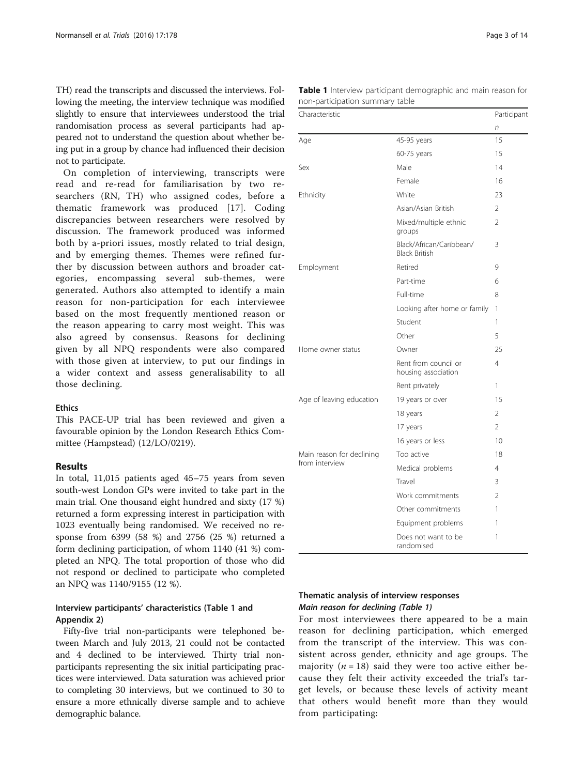<span id="page-2-0"></span>TH) read the transcripts and discussed the interviews. Following the meeting, the interview technique was modified slightly to ensure that interviewees understood the trial randomisation process as several participants had appeared not to understand the question about whether being put in a group by chance had influenced their decision not to participate.

On completion of interviewing, transcripts were read and re-read for familiarisation by two researchers (RN, TH) who assigned codes, before a thematic framework was produced [[17](#page-12-0)]. Coding discrepancies between researchers were resolved by discussion. The framework produced was informed both by a-priori issues, mostly related to trial design, and by emerging themes. Themes were refined further by discussion between authors and broader categories, encompassing several sub-themes, were generated. Authors also attempted to identify a main reason for non-participation for each interviewee based on the most frequently mentioned reason or the reason appearing to carry most weight. This was also agreed by consensus. Reasons for declining given by all NPQ respondents were also compared with those given at interview, to put our findings in a wider context and assess generalisability to all those declining.

#### Ethics

This PACE-UP trial has been reviewed and given a favourable opinion by the London Research Ethics Committee (Hampstead) (12/LO/0219).

#### Results

In total, 11,015 patients aged 45–75 years from seven south-west London GPs were invited to take part in the main trial. One thousand eight hundred and sixty (17 %) returned a form expressing interest in participation with 1023 eventually being randomised. We received no response from 6399 (58 %) and 2756 (25 %) returned a form declining participation, of whom 1140 (41 %) completed an NPQ. The total proportion of those who did not respond or declined to participate who completed an NPQ was 1140/9155 (12 %).

## Interview participants' characteristics (Table 1 and Appendix [2\)](#page-11-0)

Fifty-five trial non-participants were telephoned between March and July 2013, 21 could not be contacted and 4 declined to be interviewed. Thirty trial nonparticipants representing the six initial participating practices were interviewed. Data saturation was achieved prior to completing 30 interviews, but we continued to 30 to ensure a more ethnically diverse sample and to achieve demographic balance.

|  |                                 | Table 1 Interview participant demographic and main reason for |  |  |
|--|---------------------------------|---------------------------------------------------------------|--|--|
|  | non-participation summary table |                                                               |  |  |

| Characteristic            |                                                  | Participant    |
|---------------------------|--------------------------------------------------|----------------|
|                           |                                                  | n              |
| Age                       | 45-95 years                                      | 15             |
|                           | 60-75 years                                      | 15             |
| Sex                       | Male                                             | 14             |
|                           | Female                                           | 16             |
| Ethnicity                 | White                                            | 23             |
|                           | Asian/Asian British                              | 2              |
|                           | Mixed/multiple ethnic<br>groups                  | $\overline{2}$ |
|                           | Black/African/Caribbean/<br><b>Black British</b> | 3              |
| Employment                | Retired                                          | 9              |
|                           | Part-time                                        | 6              |
|                           | Full-time                                        | 8              |
|                           | Looking after home or family                     | 1              |
|                           | Student                                          | 1              |
|                           | Other                                            | 5              |
| Home owner status         | Owner                                            | 25             |
|                           | Rent from council or<br>housing association      | $\overline{4}$ |
|                           | Rent privately                                   | 1              |
| Age of leaving education  | 19 years or over                                 | 15             |
|                           | 18 years                                         | $\overline{2}$ |
|                           | 17 years                                         | 2              |
|                           | 16 years or less                                 | 10             |
| Main reason for declining | Too active                                       | 18             |
| from interview            | Medical problems                                 | $\overline{4}$ |
|                           | Travel                                           | 3              |
|                           | Work commitments                                 | $\mathfrak{D}$ |
|                           | Other commitments                                | 1              |
|                           | Equipment problems                               | 1              |
|                           | Does not want to be<br>randomised                | 1              |

### Thematic analysis of interview responses Main reason for declining (Table 1)

For most interviewees there appeared to be a main reason for declining participation, which emerged from the transcript of the interview. This was consistent across gender, ethnicity and age groups. The majority ( $n = 18$ ) said they were too active either because they felt their activity exceeded the trial's target levels, or because these levels of activity meant that others would benefit more than they would from participating: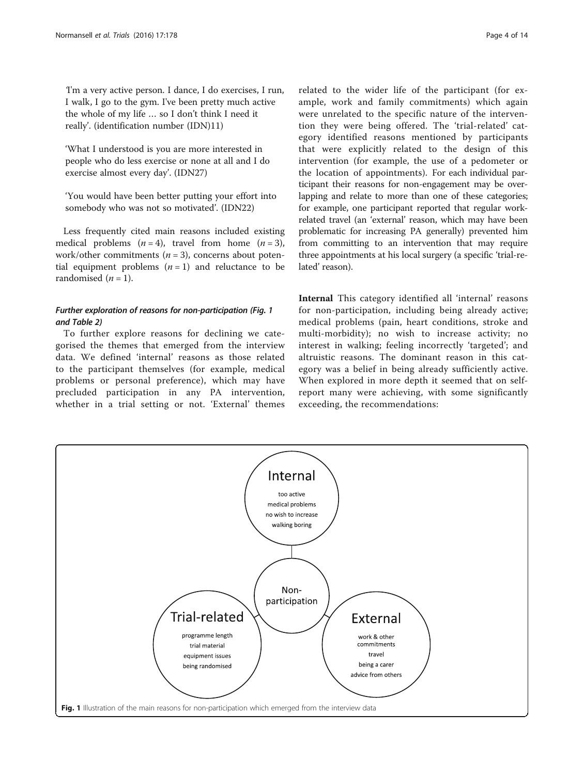'I'm a very active person. I dance, I do exercises, I run, I walk, I go to the gym. I've been pretty much active the whole of my life … so I don't think I need it really'. (identification number (IDN)11)

'What I understood is you are more interested in people who do less exercise or none at all and I do exercise almost every day'. (IDN27)

'You would have been better putting your effort into somebody who was not so motivated'. (IDN22)

Less frequently cited main reasons included existing medical problems  $(n = 4)$ , travel from home  $(n = 3)$ , work/other commitments  $(n = 3)$ , concerns about potential equipment problems  $(n = 1)$  and reluctance to be randomised  $(n = 1)$ .

# Further exploration of reasons for non-participation (Fig. 1 and Table [2](#page-4-0))

To further explore reasons for declining we categorised the themes that emerged from the interview data. We defined 'internal' reasons as those related to the participant themselves (for example, medical problems or personal preference), which may have precluded participation in any PA intervention, whether in a trial setting or not. 'External' themes related to the wider life of the participant (for example, work and family commitments) which again were unrelated to the specific nature of the intervention they were being offered. The 'trial-related' category identified reasons mentioned by participants that were explicitly related to the design of this intervention (for example, the use of a pedometer or the location of appointments). For each individual participant their reasons for non-engagement may be overlapping and relate to more than one of these categories; for example, one participant reported that regular workrelated travel (an 'external' reason, which may have been problematic for increasing PA generally) prevented him from committing to an intervention that may require three appointments at his local surgery (a specific 'trial-related' reason).

Internal This category identified all 'internal' reasons for non-participation, including being already active; medical problems (pain, heart conditions, stroke and multi-morbidity); no wish to increase activity; no interest in walking; feeling incorrectly 'targeted'; and altruistic reasons. The dominant reason in this category was a belief in being already sufficiently active. When explored in more depth it seemed that on selfreport many were achieving, with some significantly exceeding, the recommendations:

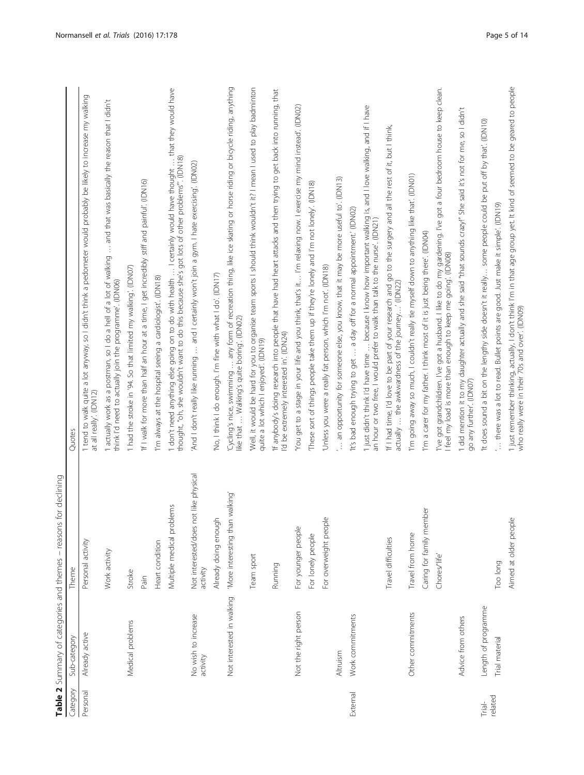<span id="page-4-0"></span>

|          |                                 | Table 2 Summary of categories and themes - reasons for declining |                                                                                                                                                                                                                |
|----------|---------------------------------|------------------------------------------------------------------|----------------------------------------------------------------------------------------------------------------------------------------------------------------------------------------------------------------|
| Category | Sub-category                    | Theme                                                            | Quotes                                                                                                                                                                                                         |
| Personal | Already active                  | Personal activity                                                | 'I tend to walk quite a lot anyway, so I didn't think a pedometer would probably be likely to increase my walking<br>at all really'. (IDN12)                                                                   |
|          |                                 | Work activity                                                    | "I actually work as a postman, so I do a hell of a lot of walking  and that was basically the reason that I didn't<br>think I'd need to actually join the programme'. (IDN06)                                  |
|          | Medical problems                | Stroke                                                           | 'I had the stroke in '94. So that limited my walking'. (IDN07)                                                                                                                                                 |
|          |                                 | Pain                                                             | 'ff I walk for more than half an hour at a time, I get incredibly stiff and painful'. (IDN16)                                                                                                                  |
|          |                                 | Heart condition                                                  | I'm always at the hospital seeing a cardiologist'. (IDN18)                                                                                                                                                     |
|          |                                 | Multiple medical problems                                        | 'I don't need anything else going on to do with health  I certainly would have thought  that they would have<br>thought, "oh, she wouldn't want to do this because she's got lots of other problems"'. (IDN18) |
|          | No wish to increase<br>activity | not like physical<br>Not interested/does<br>activity             | And I don't really like running  and I certainly won't join a gym. I hate exercising'. (IDN02)                                                                                                                 |
|          |                                 | Already doing enough                                             | 'No, I think I do enough. I'm fine with what I do'. (IDN17)                                                                                                                                                    |
|          | Not interested in walking       | 'More interesting than walking'                                  | Cycling's nice, swimming  any form of recreation thing, like ice skating or horse riding or bicycle riding, anything<br>like that  Walking's quite boring'. (IDN02)                                            |
|          |                                 | Team sport                                                       | Well, it would be hard for you to organise team sports I should think wouldn't it? I mean I used to play badminton<br>quite a lot which I enjoyed'. (IDN19)                                                    |
|          |                                 | Running                                                          | "f anybody's doing research into people that have had heart attacks and then trying to get back into running, that<br>I'd be extremely interested in'. (IDN24)                                                 |
|          | Not the right person            | For younger people                                               | You get to a stage in your life and you think, that's it I'm relaxing now. I exercise my mind instead'. (IDN02)                                                                                                |
|          |                                 | For lonely people                                                | These sort of things people take them up if they're lonely and I'm not lonely'. (IDN18)                                                                                                                        |
|          |                                 | For overweight people                                            | 'Unless you were a really fat person, which I'm not'. (IDN18)                                                                                                                                                  |
|          | Altruism                        |                                                                  | an opportunity for someone else, you know, that it may be more useful to! (IDN13)                                                                                                                              |
| External | Work commitments                |                                                                  | It's bad enough trying to get  a day off for a normal appointment.' (IDN02)                                                                                                                                    |
|          |                                 |                                                                  | 1 just didn't think I'd have time  because I know how important walking is, and I love walking, and if I have<br>an hour or two free, I would prefer to walk than talk to the nurse'. (IDN21)                  |
|          |                                 | Travel difficulties                                              | If I had time, I'd love to be part of your research and go to the surgery and all the rest of it, but I think,<br>actually  the awkwardness of the journey' (IDN22)                                            |
|          | Other commitments               | Travel from home                                                 | "I'm going away so much, I couldn't really tie myself down to anything like that'. (IDN01)                                                                                                                     |
|          |                                 | Caring for family member                                         | "I'm a carer for my father. I think most of it is just being there'. (IDN04)                                                                                                                                   |
|          |                                 | Chores/'life'                                                    | 'I've got grandchildren. I've got a husband. I like to do my gardening. I've got a four bedroom house to keep clean.<br>I feel my load is more than enough to keep me going'. (IDN08)                          |
|          | Advice from others              |                                                                  | I did mention it to my daughter actually and she said "that sounds crazy!" She said it's not for me, so I didn't<br>go any further'. (IDN07)                                                                   |
| Trial-   | Length of programme             |                                                                  | It does sound a bit on the lengthy side doesn't it really some people could be put off by that'. (IDN10)                                                                                                       |
| related  | Trial material                  | Too long                                                         | " there was a lot to read. Bullet points are good. Just make it simple'. (IDN19)                                                                                                                               |
|          |                                 | Aimed at older people                                            | "I just remember thinking, actually, I don't think I'm in that age group yet. It kind of seemed to be geared to people<br>who really were in their 70s and over'. (IDN09)                                      |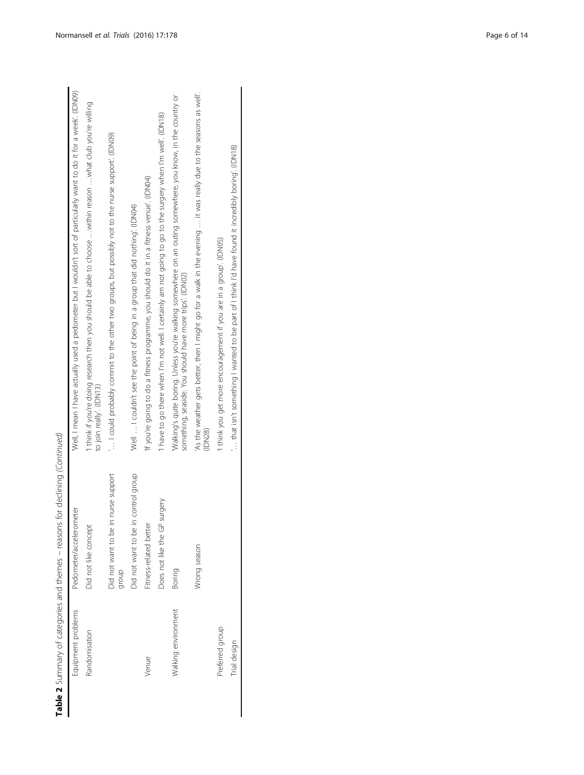| Equipment problems  | Pedometer/accelerometer                         | "Well, I mean I have actually used a pedometer but I wouldn't sort of particularly want to do it for a week. (IDN09)                                                     |
|---------------------|-------------------------------------------------|--------------------------------------------------------------------------------------------------------------------------------------------------------------------------|
| Randomisation       | Did not like concept                            | I think if you're doing research then you should be able to choose  within reason  what club you're willing<br>to join really'. (IDN13)                                  |
|                     | in nurse support<br>Did not want to be<br>dronb | $^{\prime}$ I could probably commit to the other two groups, but possibly not to the nurse support. (IDN09)                                                              |
|                     | Did not want to be in control group             | Well  I couldn't see the point of being in a group that did nothing'. (IDN04)                                                                                            |
| Venue               | Fitness-related better                          | 'If you're going to do a fitness programme, you should do it in a fitness venue'. (IDN04)                                                                                |
|                     | surgery<br>Does not like the GP                 | I have to go there when I'm not well. I certainly am not going to go to the surgery when I'm well'. (IDN18)                                                              |
| Walking environment | Boring                                          | "Walking's quite boting. Unless you're walking somewhere on an outing somewhere, you know, in the country or<br>something, seaside. You should have more trips'. (IDN02) |
|                     | Wrong season                                    | 'As the weather gets better, then I might go for a walk in the evening  it was really due to the seasons as well'.<br>(IDN28)                                            |
| Preferred group     |                                                 | 'l think you get more encouragement if you are in a group'. (IDN05)                                                                                                      |
| Trial design        |                                                 | $\ldots$ that isn't something I wanted to be part of I think I'd have found it incredibly boring. (IDN18)                                                                |

Table 2 Summary of categories and themes - reasons for declining (Continued) Table 2 Summary of categories and themes – reasons for declining (Continued)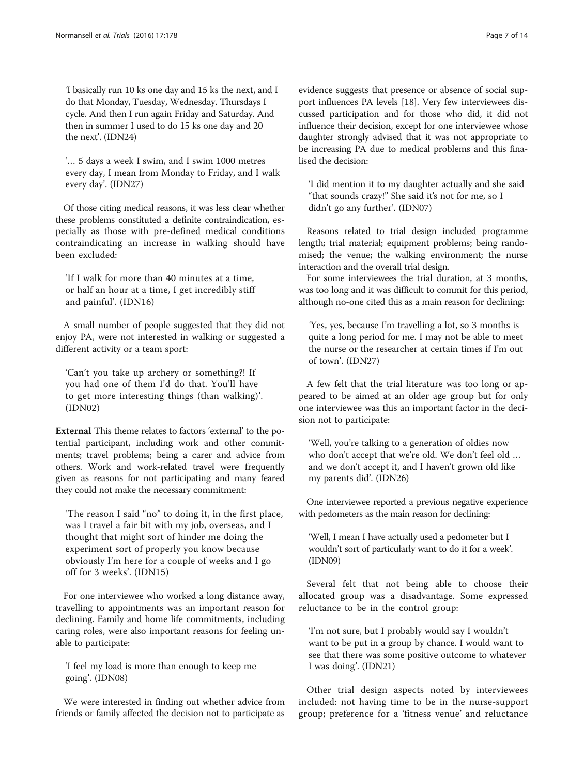'I basically run 10 ks one day and 15 ks the next, and I do that Monday, Tuesday, Wednesday. Thursdays I cycle. And then I run again Friday and Saturday. And then in summer I used to do 15 ks one day and 20 the next'. (IDN24)

'… 5 days a week I swim, and I swim 1000 metres every day, I mean from Monday to Friday, and I walk every day'. (IDN27)

Of those citing medical reasons, it was less clear whether these problems constituted a definite contraindication, especially as those with pre-defined medical conditions contraindicating an increase in walking should have been excluded:

'If I walk for more than 40 minutes at a time, or half an hour at a time, I get incredibly stiff and painful'. (IDN16)

A small number of people suggested that they did not enjoy PA, were not interested in walking or suggested a different activity or a team sport:

'Can't you take up archery or something?! If you had one of them I'd do that. You'll have to get more interesting things (than walking)'. (IDN02)

External This theme relates to factors 'external' to the potential participant, including work and other commitments; travel problems; being a carer and advice from others. Work and work-related travel were frequently given as reasons for not participating and many feared they could not make the necessary commitment:

'The reason I said "no" to doing it, in the first place, was I travel a fair bit with my job, overseas, and I thought that might sort of hinder me doing the experiment sort of properly you know because obviously I'm here for a couple of weeks and I go off for 3 weeks'. (IDN15)

For one interviewee who worked a long distance away, travelling to appointments was an important reason for declining. Family and home life commitments, including caring roles, were also important reasons for feeling unable to participate:

'I feel my load is more than enough to keep me going'. (IDN08)

We were interested in finding out whether advice from friends or family affected the decision not to participate as

evidence suggests that presence or absence of social support influences PA levels [[18](#page-12-0)]. Very few interviewees discussed participation and for those who did, it did not influence their decision, except for one interviewee whose daughter strongly advised that it was not appropriate to be increasing PA due to medical problems and this finalised the decision:

'I did mention it to my daughter actually and she said "that sounds crazy!" She said it's not for me, so I didn't go any further'. (IDN07)

Reasons related to trial design included programme length; trial material; equipment problems; being randomised; the venue; the walking environment; the nurse interaction and the overall trial design.

For some interviewees the trial duration, at 3 months, was too long and it was difficult to commit for this period, although no-one cited this as a main reason for declining:

'Yes, yes, because I'm travelling a lot, so 3 months is quite a long period for me. I may not be able to meet the nurse or the researcher at certain times if I'm out of town'. (IDN27)

A few felt that the trial literature was too long or appeared to be aimed at an older age group but for only one interviewee was this an important factor in the decision not to participate:

'Well, you're talking to a generation of oldies now who don't accept that we're old. We don't feel old … and we don't accept it, and I haven't grown old like my parents did'. (IDN26)

One interviewee reported a previous negative experience with pedometers as the main reason for declining:

'Well, I mean I have actually used a pedometer but I wouldn't sort of particularly want to do it for a week'. (IDN09)

Several felt that not being able to choose their allocated group was a disadvantage. Some expressed reluctance to be in the control group:

'I'm not sure, but I probably would say I wouldn't want to be put in a group by chance. I would want to see that there was some positive outcome to whatever I was doing'. (IDN21)

Other trial design aspects noted by interviewees included: not having time to be in the nurse-support group; preference for a 'fitness venue' and reluctance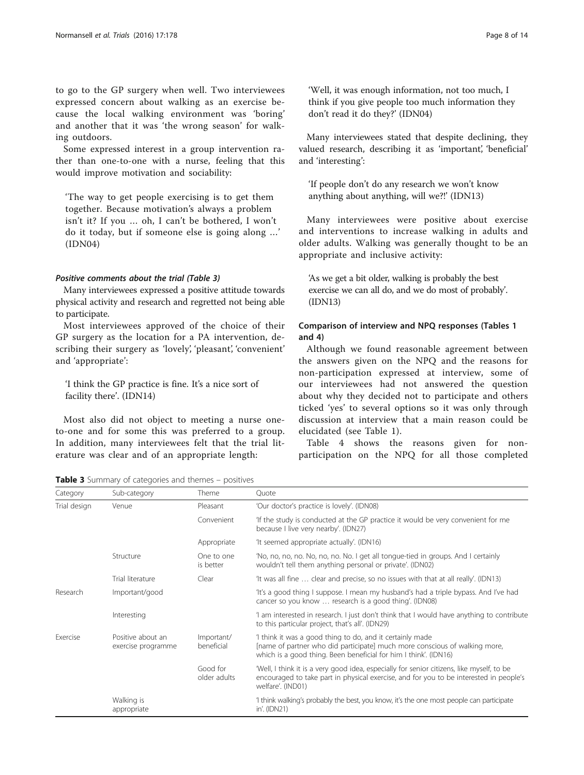to go to the GP surgery when well. Two interviewees expressed concern about walking as an exercise because the local walking environment was 'boring' and another that it was 'the wrong season' for walking outdoors.

Some expressed interest in a group intervention rather than one-to-one with a nurse, feeling that this would improve motivation and sociability:

'The way to get people exercising is to get them together. Because motivation's always a problem isn't it? If you … oh, I can't be bothered, I won't do it today, but if someone else is going along …' (IDN04)

#### Positive comments about the trial (Table 3)

Many interviewees expressed a positive attitude towards physical activity and research and regretted not being able to participate.

Most interviewees approved of the choice of their GP surgery as the location for a PA intervention, describing their surgery as 'lovely', 'pleasant', 'convenient' and 'appropriate':

'I think the GP practice is fine. It's a nice sort of facility there'. (IDN14)

Most also did not object to meeting a nurse oneto-one and for some this was preferred to a group. In addition, many interviewees felt that the trial literature was clear and of an appropriate length:

Table 3 Summary of categories and themes – positives

'Well, it was enough information, not too much, I think if you give people too much information they don't read it do they?' (IDN04)

Many interviewees stated that despite declining, they valued research, describing it as 'important', 'beneficial' and 'interesting':

'If people don't do any research we won't know anything about anything, will we?!' (IDN13)

Many interviewees were positive about exercise and interventions to increase walking in adults and older adults. Walking was generally thought to be an appropriate and inclusive activity:

'As we get a bit older, walking is probably the best exercise we can all do, and we do most of probably'. (IDN13)

# Comparison of interview and NPQ responses (Tables [1](#page-2-0) and [4\)](#page-8-0)

Although we found reasonable agreement between the answers given on the NPQ and the reasons for non-participation expressed at interview, some of our interviewees had not answered the question about why they decided not to participate and others ticked 'yes' to several options so it was only through discussion at interview that a main reason could be elucidated (see Table [1](#page-2-0)).

Table [4](#page-8-0) shows the reasons given for nonparticipation on the NPQ for all those completed

| Category     | Sub-category                                                        | Theme                    | Quote                                                                                                                                                                                                      |
|--------------|---------------------------------------------------------------------|--------------------------|------------------------------------------------------------------------------------------------------------------------------------------------------------------------------------------------------------|
| Trial design | Venue                                                               | Pleasant                 | 'Our doctor's practice is lovely'. (IDN08)                                                                                                                                                                 |
|              |                                                                     | Convenient               | If the study is conducted at the GP practice it would be very convenient for me<br>because I live very nearby'. (IDN27)                                                                                    |
|              |                                                                     | Appropriate              | 'It seemed appropriate actually'. (IDN16)                                                                                                                                                                  |
|              | Structure                                                           | One to one<br>is better  | 'No, no, no, no. No, no, no. No. I get all tongue-tied in groups. And I certainly<br>wouldn't tell them anything personal or private'. (IDN02)                                                             |
|              | Trial literature                                                    | Clear                    | 'It was all fine  clear and precise, so no issues with that at all really'. (IDN13)                                                                                                                        |
| Research     | Important/good                                                      |                          | 'It's a good thing I suppose. I mean my husband's had a triple bypass. And I've had<br>cancer so you know  research is a good thing'. (IDN08)                                                              |
|              | Interesting                                                         |                          | 'I am interested in research. I just don't think that I would have anything to contribute<br>to this particular project, that's all'. (IDN29)                                                              |
| Exercise     | Positive about an<br>Important/<br>beneficial<br>exercise programme |                          | I think it was a good thing to do, and it certainly made<br>[name of partner who did participate] much more conscious of walking more,<br>which is a good thing. Been beneficial for him I think'. (IDN16) |
|              |                                                                     | Good for<br>older adults | 'Well, I think it is a very good idea, especially for senior citizens, like myself, to be<br>encouraged to take part in physical exercise, and for you to be interested in people's<br>welfare'. (IND01)   |
|              | Walking is<br>appropriate                                           |                          | 'I think walking's probably the best, you know, it's the one most people can participate<br>in'. (IDN21)                                                                                                   |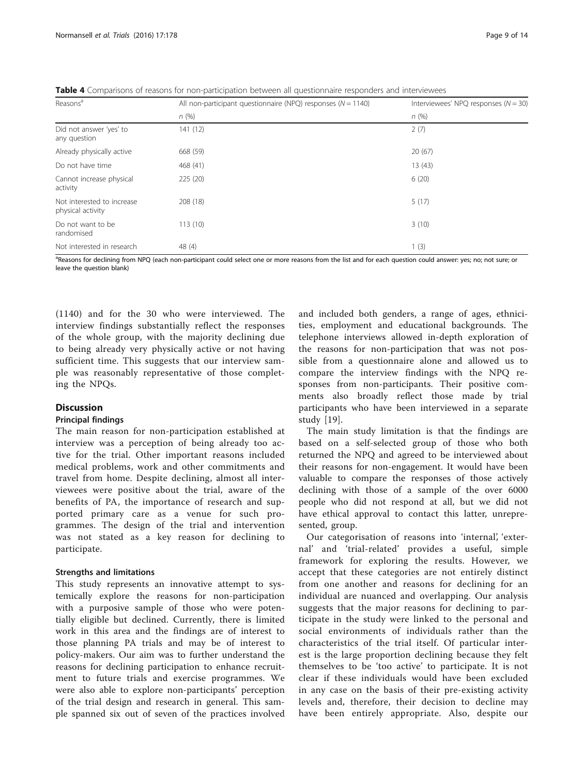| Reasons <sup>a</sup>                            | All non-participant questionnaire (NPQ) responses ( $N = 1140$ ) | Interviewees' NPQ responses ( $N = 30$ ) |
|-------------------------------------------------|------------------------------------------------------------------|------------------------------------------|
|                                                 | n(%)                                                             | n(%)                                     |
| Did not answer 'yes' to<br>any question         | 141(12)                                                          | 2(7)                                     |
| Already physically active                       | 668 (59)                                                         | 20(67)                                   |
| Do not have time                                | 468 (41)                                                         | 13(43)                                   |
| Cannot increase physical<br>activity            | 225(20)                                                          | 6(20)                                    |
| Not interested to increase<br>physical activity | 208 (18)                                                         | 5(17)                                    |
| Do not want to be<br>randomised                 | 113(10)                                                          | 3(10)                                    |
| Not interested in research                      | 48 (4)                                                           | 1(3)                                     |

<span id="page-8-0"></span>Table 4 Comparisons of reasons for non-participation between all questionnaire responders and interviewees

<sup>a</sup>Reasons for declining from NPQ (each non-participant could select one or more reasons from the list and for each question could answer: yes; no; not sure; or leave the question blank)

(1140) and for the 30 who were interviewed. The interview findings substantially reflect the responses of the whole group, with the majority declining due to being already very physically active or not having sufficient time. This suggests that our interview sample was reasonably representative of those completing the NPQs.

#### **Discussion**

#### Principal findings

The main reason for non-participation established at interview was a perception of being already too active for the trial. Other important reasons included medical problems, work and other commitments and travel from home. Despite declining, almost all interviewees were positive about the trial, aware of the benefits of PA, the importance of research and supported primary care as a venue for such programmes. The design of the trial and intervention was not stated as a key reason for declining to participate.

#### Strengths and limitations

This study represents an innovative attempt to systemically explore the reasons for non-participation with a purposive sample of those who were potentially eligible but declined. Currently, there is limited work in this area and the findings are of interest to those planning PA trials and may be of interest to policy-makers. Our aim was to further understand the reasons for declining participation to enhance recruitment to future trials and exercise programmes. We were also able to explore non-participants' perception of the trial design and research in general. This sample spanned six out of seven of the practices involved and included both genders, a range of ages, ethnicities, employment and educational backgrounds. The telephone interviews allowed in-depth exploration of the reasons for non-participation that was not possible from a questionnaire alone and allowed us to compare the interview findings with the NPQ responses from non-participants. Their positive comments also broadly reflect those made by trial participants who have been interviewed in a separate study [\[19](#page-12-0)].

The main study limitation is that the findings are based on a self-selected group of those who both returned the NPQ and agreed to be interviewed about their reasons for non-engagement. It would have been valuable to compare the responses of those actively declining with those of a sample of the over 6000 people who did not respond at all, but we did not have ethical approval to contact this latter, unrepresented, group.

Our categorisation of reasons into 'internal', 'external' and 'trial-related' provides a useful, simple framework for exploring the results. However, we accept that these categories are not entirely distinct from one another and reasons for declining for an individual are nuanced and overlapping. Our analysis suggests that the major reasons for declining to participate in the study were linked to the personal and social environments of individuals rather than the characteristics of the trial itself. Of particular interest is the large proportion declining because they felt themselves to be 'too active' to participate. It is not clear if these individuals would have been excluded in any case on the basis of their pre-existing activity levels and, therefore, their decision to decline may have been entirely appropriate. Also, despite our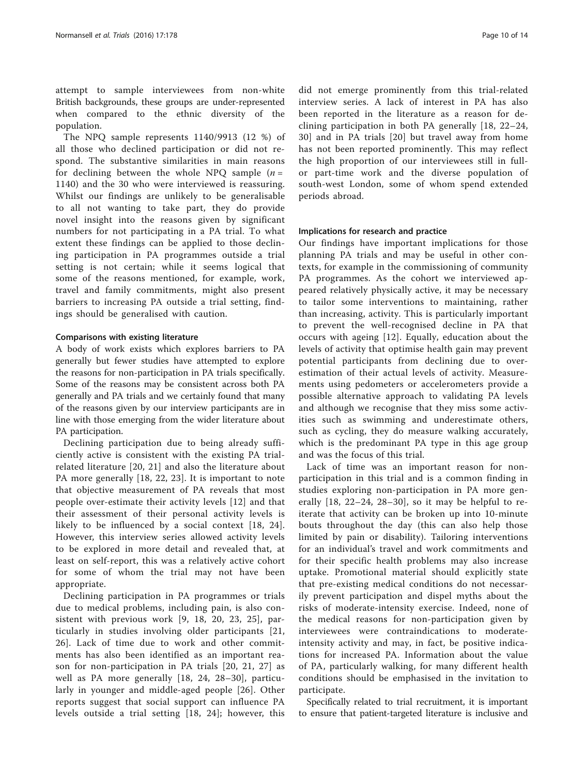attempt to sample interviewees from non-white British backgrounds, these groups are under-represented when compared to the ethnic diversity of the population.

The NPQ sample represents 1140/9913 (12 %) of all those who declined participation or did not respond. The substantive similarities in main reasons for declining between the whole NPO sample  $(n =$ 1140) and the 30 who were interviewed is reassuring. Whilst our findings are unlikely to be generalisable to all not wanting to take part, they do provide novel insight into the reasons given by significant numbers for not participating in a PA trial. To what extent these findings can be applied to those declining participation in PA programmes outside a trial setting is not certain; while it seems logical that some of the reasons mentioned, for example, work, travel and family commitments, might also present barriers to increasing PA outside a trial setting, findings should be generalised with caution.

#### Comparisons with existing literature

A body of work exists which explores barriers to PA generally but fewer studies have attempted to explore the reasons for non-participation in PA trials specifically. Some of the reasons may be consistent across both PA generally and PA trials and we certainly found that many of the reasons given by our interview participants are in line with those emerging from the wider literature about PA participation.

Declining participation due to being already sufficiently active is consistent with the existing PA trialrelated literature [\[20](#page-12-0), [21](#page-12-0)] and also the literature about PA more generally [[18, 22, 23\]](#page-12-0). It is important to note that objective measurement of PA reveals that most people over-estimate their activity levels [[12\]](#page-12-0) and that their assessment of their personal activity levels is likely to be influenced by a social context [[18](#page-12-0), [24](#page-12-0)]. However, this interview series allowed activity levels to be explored in more detail and revealed that, at least on self-report, this was a relatively active cohort for some of whom the trial may not have been appropriate.

Declining participation in PA programmes or trials due to medical problems, including pain, is also consistent with previous work [\[9](#page-12-0), [18](#page-12-0), [20](#page-12-0), [23](#page-12-0), [25](#page-12-0)], particularly in studies involving older participants [\[21](#page-12-0), [26\]](#page-12-0). Lack of time due to work and other commitments has also been identified as an important reason for non-participation in PA trials [\[20](#page-12-0), [21](#page-12-0), [27](#page-12-0)] as well as PA more generally [[18](#page-12-0), [24](#page-12-0), [28](#page-13-0)–[30](#page-13-0)], particularly in younger and middle-aged people [[26](#page-12-0)]. Other reports suggest that social support can influence PA levels outside a trial setting [[18, 24\]](#page-12-0); however, this did not emerge prominently from this trial-related interview series. A lack of interest in PA has also been reported in the literature as a reason for declining participation in both PA generally [\[18, 22](#page-12-0)–[24](#page-12-0), [30\]](#page-13-0) and in PA trials [[20\]](#page-12-0) but travel away from home has not been reported prominently. This may reflect the high proportion of our interviewees still in fullor part-time work and the diverse population of south-west London, some of whom spend extended periods abroad.

### Implications for research and practice

Our findings have important implications for those planning PA trials and may be useful in other contexts, for example in the commissioning of community PA programmes. As the cohort we interviewed appeared relatively physically active, it may be necessary to tailor some interventions to maintaining, rather than increasing, activity. This is particularly important to prevent the well-recognised decline in PA that occurs with ageing [[12](#page-12-0)]. Equally, education about the levels of activity that optimise health gain may prevent potential participants from declining due to overestimation of their actual levels of activity. Measurements using pedometers or accelerometers provide a possible alternative approach to validating PA levels and although we recognise that they miss some activities such as swimming and underestimate others, such as cycling, they do measure walking accurately, which is the predominant PA type in this age group and was the focus of this trial.

Lack of time was an important reason for nonparticipation in this trial and is a common finding in studies exploring non-participation in PA more generally [\[18](#page-12-0), [22](#page-12-0)–[24](#page-12-0), [28](#page-13-0)–[30](#page-13-0)], so it may be helpful to reiterate that activity can be broken up into 10-minute bouts throughout the day (this can also help those limited by pain or disability). Tailoring interventions for an individual's travel and work commitments and for their specific health problems may also increase uptake. Promotional material should explicitly state that pre-existing medical conditions do not necessarily prevent participation and dispel myths about the risks of moderate-intensity exercise. Indeed, none of the medical reasons for non-participation given by interviewees were contraindications to moderateintensity activity and may, in fact, be positive indications for increased PA. Information about the value of PA, particularly walking, for many different health conditions should be emphasised in the invitation to participate.

Specifically related to trial recruitment, it is important to ensure that patient-targeted literature is inclusive and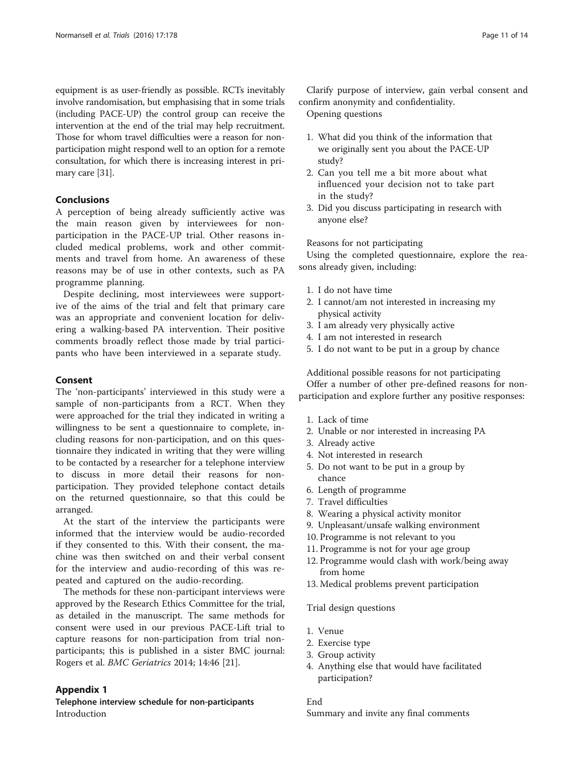<span id="page-10-0"></span>equipment is as user-friendly as possible. RCTs inevitably involve randomisation, but emphasising that in some trials (including PACE-UP) the control group can receive the intervention at the end of the trial may help recruitment. Those for whom travel difficulties were a reason for nonparticipation might respond well to an option for a remote consultation, for which there is increasing interest in primary care [[31\]](#page-13-0).

### Conclusions

A perception of being already sufficiently active was the main reason given by interviewees for nonparticipation in the PACE-UP trial. Other reasons included medical problems, work and other commitments and travel from home. An awareness of these reasons may be of use in other contexts, such as PA programme planning.

Despite declining, most interviewees were supportive of the aims of the trial and felt that primary care was an appropriate and convenient location for delivering a walking-based PA intervention. Their positive comments broadly reflect those made by trial participants who have been interviewed in a separate study.

#### Consent

The 'non-participants' interviewed in this study were a sample of non-participants from a RCT. When they were approached for the trial they indicated in writing a willingness to be sent a questionnaire to complete, including reasons for non-participation, and on this questionnaire they indicated in writing that they were willing to be contacted by a researcher for a telephone interview to discuss in more detail their reasons for nonparticipation. They provided telephone contact details on the returned questionnaire, so that this could be arranged.

At the start of the interview the participants were informed that the interview would be audio-recorded if they consented to this. With their consent, the machine was then switched on and their verbal consent for the interview and audio-recording of this was repeated and captured on the audio-recording.

The methods for these non-participant interviews were approved by the Research Ethics Committee for the trial, as detailed in the manuscript. The same methods for consent were used in our previous PACE-Lift trial to capture reasons for non-participation from trial nonparticipants; this is published in a sister BMC journal: Rogers et al. BMC Geriatrics 2014; 14:46 [[21\]](#page-12-0).

# Appendix 1

Telephone interview schedule for non-participants Introduction

Clarify purpose of interview, gain verbal consent and confirm anonymity and confidentiality.

Opening questions

- 1. What did you think of the information that we originally sent you about the PACE-UP study?
- 2. Can you tell me a bit more about what influenced your decision not to take part in the study?
- 3. Did you discuss participating in research with anyone else?

#### Reasons for not participating

Using the completed questionnaire, explore the reasons already given, including:

- 1. I do not have time
- 2. I cannot/am not interested in increasing my physical activity
- 3. I am already very physically active
- 4. I am not interested in research
- 5. I do not want to be put in a group by chance

Additional possible reasons for not participating Offer a number of other pre-defined reasons for nonparticipation and explore further any positive responses:

- 1. Lack of time
- 2. Unable or nor interested in increasing PA
- 3. Already active
- 4. Not interested in research
- 5. Do not want to be put in a group by chance
- 6. Length of programme
- 7. Travel difficulties
- 8. Wearing a physical activity monitor
- 9. Unpleasant/unsafe walking environment
- 10. Programme is not relevant to you
- 11. Programme is not for your age group
- 12. Programme would clash with work/being away from home
- 13. Medical problems prevent participation

#### Trial design questions

- 1. Venue
- 2. Exercise type
- 3. Group activity
- 4. Anything else that would have facilitated participation?

#### End

Summary and invite any final comments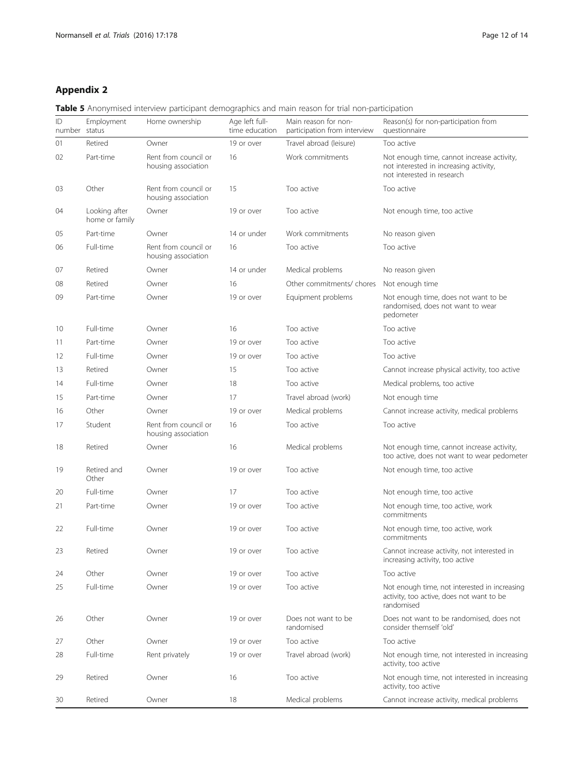# <span id="page-11-0"></span>Appendix 2

Table 5 Anonymised interview participant demographics and main reason for trial non-participation

|                     |                                 |                                             | シニロ                              |                                                      |                                                                                                                    |
|---------------------|---------------------------------|---------------------------------------------|----------------------------------|------------------------------------------------------|--------------------------------------------------------------------------------------------------------------------|
| ID<br>number status | Employment                      | Home ownership                              | Age left full-<br>time education | Main reason for non-<br>participation from interview | Reason(s) for non-participation from<br>questionnaire                                                              |
| 01                  | Retired                         | Owner                                       | 19 or over                       | Travel abroad (leisure)                              | Too active                                                                                                         |
| 02                  | Part-time                       | Rent from council or<br>housing association | 16                               | Work commitments                                     | Not enough time, cannot increase activity,<br>not interested in increasing activity,<br>not interested in research |
| 03                  | Other                           | Rent from council or<br>housing association | 15                               | Too active                                           | Too active                                                                                                         |
| 04                  | Looking after<br>home or family | Owner                                       | 19 or over                       | Too active                                           | Not enough time, too active                                                                                        |
| 05                  | Part-time                       | Owner                                       | 14 or under                      | Work commitments                                     | No reason given                                                                                                    |
| 06                  | Full-time                       | Rent from council or<br>housing association | 16                               | Too active                                           | Too active                                                                                                         |
| 07                  | Retired                         | Owner                                       | 14 or under                      | Medical problems                                     | No reason given                                                                                                    |
| 08                  | Retired                         | Owner                                       | 16                               | Other commitments/ chores                            | Not enough time                                                                                                    |
| 09                  | Part-time                       | Owner                                       | 19 or over                       | Equipment problems                                   | Not enough time, does not want to be<br>randomised, does not want to wear<br>pedometer                             |
| 10                  | Full-time                       | Owner                                       | 16                               | Too active                                           | Too active                                                                                                         |
| 11                  | Part-time                       | Owner                                       | 19 or over                       | Too active                                           | Too active                                                                                                         |
| 12                  | Full-time                       | Owner                                       | 19 or over                       | Too active                                           | Too active                                                                                                         |
| 13                  | Retired                         | Owner                                       | 15                               | Too active                                           | Cannot increase physical activity, too active                                                                      |
| 14                  | Full-time                       | Owner                                       | 18                               | Too active                                           | Medical problems, too active                                                                                       |
| 15                  | Part-time                       | Owner                                       | 17                               | Travel abroad (work)                                 | Not enough time                                                                                                    |
| 16                  | Other                           | Owner                                       | 19 or over                       | Medical problems                                     | Cannot increase activity, medical problems                                                                         |
| 17                  | Student                         | Rent from council or<br>housing association | 16                               | Too active                                           | Too active                                                                                                         |
| 18                  | Retired                         | Owner                                       | 16                               | Medical problems                                     | Not enough time, cannot increase activity,<br>too active, does not want to wear pedometer                          |
| 19                  | Retired and<br>Other            | Owner                                       | 19 or over                       | Too active                                           | Not enough time, too active                                                                                        |
| 20                  | Full-time                       | Owner                                       | 17                               | Too active                                           | Not enough time, too active                                                                                        |
| 21                  | Part-time                       | Owner                                       | 19 or over                       | Too active                                           | Not enough time, too active, work<br>commitments                                                                   |
| 22                  | Full-time                       | Owner                                       | 19 or over                       | Too active                                           | Not enough time, too active, work<br>commitments                                                                   |
| 23                  | Retired                         | Owner                                       | 19 or over                       | Too active                                           | Cannot increase activity, not interested in<br>increasing activity, too active                                     |
| 24                  | Other                           | Owner                                       | 19 or over                       | Too active                                           | Too active                                                                                                         |
| 25                  | Full-time                       | Owner                                       | 19 or over                       | Too active                                           | Not enough time, not interested in increasing<br>activity, too active, does not want to be<br>randomised           |
| 26                  | Other                           | Owner                                       | 19 or over                       | Does not want to be<br>randomised                    | Does not want to be randomised, does not<br>consider themself 'old'                                                |
| 27                  | Other                           | Owner                                       | 19 or over                       | Too active                                           | Too active                                                                                                         |
| 28                  | Full-time                       | Rent privately                              | 19 or over                       | Travel abroad (work)                                 | Not enough time, not interested in increasing<br>activity, too active                                              |
| 29                  | Retired                         | Owner                                       | 16                               | Too active                                           | Not enough time, not interested in increasing<br>activity, too active                                              |
| 30                  | Retired                         | Owner                                       | 18                               | Medical problems                                     | Cannot increase activity, medical problems                                                                         |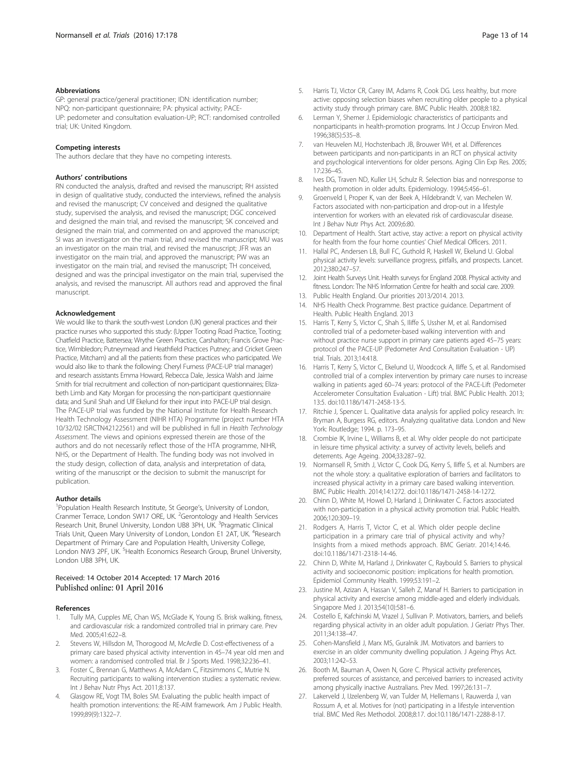#### <span id="page-12-0"></span>Abbreviations

GP: general practice/general practitioner; IDN: identification number; NPQ: non-participant questionnaire; PA: physical activity; PACE-UP: pedometer and consultation evaluation-UP; RCT: randomised controlled trial; UK: United Kingdom.

#### Competing interests

The authors declare that they have no competing interests.

#### Authors' contributions

RN conducted the analysis, drafted and revised the manuscript; RH assisted in design of qualitative study, conducted the interviews, refined the analysis and revised the manuscript; CV conceived and designed the qualitative study, supervised the analysis, and revised the manuscript; DGC conceived and designed the main trial, and revised the manuscript; SK conceived and designed the main trial, and commented on and approved the manuscript; SI was an investigator on the main trial, and revised the manuscript; MU was an investigator on the main trial, and revised the manuscript; JFR was an investigator on the main trial, and approved the manuscript; PW was an investigator on the main trial, and revised the manuscript; TH conceived, designed and was the principal investigator on the main trial, supervised the analysis, and revised the manuscript. All authors read and approved the final manuscript.

#### Acknowledgement

We would like to thank the south-west London (UK) general practices and their practice nurses who supported this study: (Upper Tooting Road Practice, Tooting; Chatfield Practice, Battersea; Wrythe Green Practice, Carshalton; Francis Grove Practice, Wimbledon; Putneymead and Heathfield Practices Putney; and Cricket Green Practice, Mitcham) and all the patients from these practices who participated. We would also like to thank the following: Cheryl Furness (PACE-UP trial manager) and research assistants Emma Howard, Rebecca Dale, Jessica Walsh and Jaime Smith for trial recruitment and collection of non-participant questionnaires; Elizabeth Limb and Katy Morgan for processing the non-participant questionnaire data; and Sunil Shah and Ulf Ekelund for their input into PACE-UP trial design. The PACE-UP trial was funded by the National Institute for Health Research Health Technology Assessment (NIHR HTA) Programme (project number HTA 10/32/02 ISRCTN42122561) and will be published in full in Health Technology Assessment. The views and opinions expressed therein are those of the authors and do not necessarily reflect those of the HTA programme, NIHR, NHS, or the Department of Health. The funding body was not involved in the study design, collection of data, analysis and interpretation of data, writing of the manuscript or the decision to submit the manuscript for publication.

#### Author details

<sup>1</sup> Population Health Research Institute, St George's, University of London, Cranmer Terrace, London SW17 ORE, UK. <sup>2</sup>Gerontology and Health Services Research Unit, Brunel University, London UB8 3PH, UK. <sup>3</sup>Pragmatic Clinical Trials Unit, Queen Mary University of London, London E1 2AT, UK. <sup>4</sup>Research Department of Primary Care and Population Health, University College,<br>London NW3 2PF, UK. <sup>5</sup>Health Economics Research Group, Brunel University, London UB8 3PH, UK.

#### Received: 14 October 2014 Accepted: 17 March 2016 Published online: 01 April 2016

#### References

- Tully MA, Cupples ME, Chan WS, McGlade K, Young IS. Brisk walking, fitness, and cardiovascular risk: a randomized controlled trial in primary care. Prev Med. 2005;41:622–8.
- 2. Stevens W, Hillsdon M, Thorogood M, McArdle D. Cost-effectiveness of a primary care based physical activity intervention in 45–74 year old men and women: a randomised controlled trial. Br J Sports Med. 1998;32:236–41.
- 3. Foster C, Brennan G, Matthews A, McAdam C, Fitzsimmons C, Mutrie N. Recruiting participants to walking intervention studies: a systematic review. Int J Behav Nutr Phys Act. 2011;8:137.
- 4. Glasgow RE, Vogt TM, Boles SM. Evaluating the public health impact of health promotion interventions: the RE-AIM framework. Am J Public Health. 1999;89(9):1322–7.
- 5. Harris TJ, Victor CR, Carey IM, Adams R, Cook DG. Less healthy, but more active: opposing selection biases when recruiting older people to a physical activity study through primary care. BMC Public Health. 2008;8:182.
- 6. Lerman Y, Shemer J. Epidemiologic characteristics of participants and nonparticipants in health-promotion programs. Int J Occup Environ Med. 1996;38(5):535–8.
- 7. van Heuvelen MJ, Hochstenbach JB, Brouwer WH, et al. Differences between participants and non-participants in an RCT on physical activity and psychological interventions for older persons. Aging Clin Exp Res. 2005; 17:236–45.
- 8. Ives DG, Traven ND, Kuller LH, Schulz R. Selection bias and nonresponse to health promotion in older adults. Epidemiology. 1994;5:456–61.
- 9. Groenveld I, Proper K, van der Beek A, Hildebrandt V, van Mechelen W. Factors associated with non-participation and drop-out in a lifestyle intervention for workers with an elevated risk of cardiovascular disease. Int J Behav Nutr Phys Act. 2009;6:80.
- 10. Department of Health. Start active, stay active: a report on physical activity for health from the four home counties' Chief Medical Officers. 2011.
- 11. Hallal PC, Andersen LB, Bull FC, Guthold R, Haskell W, Ekelund U. Global physical activity levels: surveillance progress, pitfalls, and prospects. Lancet. 2012;380:247–57.
- 12. Joint Health Surveys Unit. Health surveys for England 2008. Physical activity and fitness. London: The NHS Information Centre for health and social care. 2009.
- 13. Public Health England. Our priorities 2013/2014. 2013.
- 14. NHS Health Check Programme. Best practice guidance. Department of Health. Public Health England. 2013
- 15. Harris T, Kerry S, Victor C, Shah S, Iliffe S, Ussher M, et al. Randomised controlled trial of a pedometer-based walking intervention with and without practice nurse support in primary care patients aged 45–75 years: protocol of the PACE-UP (Pedometer And Consultation Evaluation - UP) trial. Trials. 2013;14:418.
- 16. Harris T, Kerry S, Victor C, Ekelund U, Woodcock A, Iliffe S, et al. Randomised controlled trial of a complex intervention by primary care nurses to increase walking in patients aged 60–74 years: protocol of the PACE-Lift (Pedometer Accelerometer Consultation Evaluation - Lift) trial. BMC Public Health. 2013; 13:5. doi:[10.1186/1471-2458-13-5.](http://dx.doi.org/10.1186/1471-2458-13-5)
- 17. Ritchie J, Spencer L. Qualitative data analysis for applied policy research. In: Bryman A, Burgess RG, editors. Analyzing qualitative data. London and New York: Routledge; 1994. p. 173–95.
- 18. Crombie IK, Irvine L, Williams B, et al. Why older people do not participate in leisure time physical activity: a survey of activity levels, beliefs and deterrents. Age Ageing. 2004;33:287–92.
- 19. Normansell R, Smith J, Victor C, Cook DG, Kerry S, Iliffe S, et al. Numbers are not the whole story: a qualitative exploration of barriers and facilitators to increased physical activity in a primary care based walking intervention. BMC Public Health. 2014;14:1272. doi[:10.1186/1471-2458-14-1272](http://dx.doi.org/10.1186/1471-2458-14-1272).
- 20. Chinn D, White M, Howel D, Harland J, Drinkwater C. Factors associated with non-participation in a physical activity promotion trial. Public Health. 2006;120:309–19.
- 21. Rodgers A, Harris T, Victor C, et al. Which older people decline participation in a primary care trial of physical activity and why? Insights from a mixed methods approach. BMC Geriatr. 2014;14:46. doi[:10.1186/1471-2318-14-46.](http://dx.doi.org/10.1186/1471-2318-14-46)
- 22. Chinn D, White M, Harland J, Drinkwater C, Raybould S. Barriers to physical activity and socioeconomic position: implications for health promotion. Epidemiol Community Health. 1999;53:191–2.
- 23. Justine M, Azizan A, Hassan V, Salleh Z, Manaf H. Barriers to participation in physical activity and exercise among middle-aged and elderly individuals. Singapore Med J. 2013;54(10):581–6.
- 24. Costello E, Kafchinski M, Vrazel J, Sullivan P. Motivators, barriers, and beliefs regarding physical activity in an older adult population. J Geriatr Phys Ther. 2011;34:138–47.
- 25. Cohen-Mansfield J, Marx MS, Guralnik JM. Motivators and barriers to exercise in an older community dwelling population. J Ageing Phys Act. 2003;11:242–53.
- 26. Booth M, Bauman A, Owen N, Gore C. Physical activity preferences, preferred sources of assistance, and perceived barriers to increased activity among physically inactive Australians. Prev Med. 1997;26:131–7.
- 27. Lakerveld J, IJzelenberg W, van Tulder M, Hellemans I, Rauwerda J, van Rossum A, et al. Motives for (not) participating in a lifestyle intervention trial. BMC Med Res Methodol. 2008;8:17. doi[:10.1186/1471-2288-8-17](http://dx.doi.org/10.1186/1471-2288-8-17).